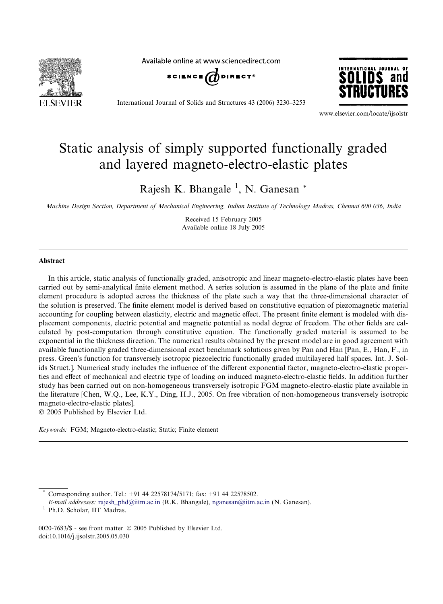

Available online at www.sciencedirect.com





International Journal of Solids and Structures 43 (2006) 3230–3253

www.elsevier.com/locate/ijsolstr

# Static analysis of simply supported functionally graded and layered magneto-electro-elastic plates

Rajesh K. Bhangale<sup>1</sup>, N. Ganesan<sup>\*</sup>

*Machine Design Section, Department of Mechanical Engineering, Indian Institute of Technology Madras, Chennai 600 036, India*

Received 15 February 2005 Available online 18 July 2005

#### Abstract

In this article, static analysis of functionally graded, anisotropic and linear magneto-electro-elastic plates have been carried out by semi-analytical finite element method. A series solution is assumed in the plane of the plate and finite element procedure is adopted across the thickness of the plate such a way that the three-dimensional character of the solution is preserved. The finite element model is derived based on constitutive equation of piezomagnetic material accounting for coupling between elasticity, electric and magnetic effect. The present finite element is modeled with displacement components, electric potential and magnetic potential as nodal degree of freedom. The other fields are calculated by post-computation through constitutive equation. The functionally graded material is assumed to be exponential in the thickness direction. The numerical results obtained by the present model are in good agreement with available functionally graded three-dimensional exact benchmark solutions given by Pan and Han [Pan, E., Han, F., in press. Green's function for transversely isotropic piezoelectric functionally graded multilayered half spaces. Int. J. Solids Struct.]. Numerical study includes the influence of the different exponential factor, magneto-electro-elastic properties and effect of mechanical and electric type of loading on induced magneto-electro-elastic fields. In addition further study has been carried out on non-homogeneous transversely isotropic FGM magneto-electro-elastic plate available in the literature [Chen, W.Q., Lee, K.Y., Ding, H.J., 2005. On free vibration of non-homogeneous transversely isotropic magneto-electro-elastic plates].  $© 2005$  Published by Elsevier Ltd.

*Keywords:* FGM; Magneto-electro-elastic; Static; Finite element

Corresponding author. Tel.: +91 44 22578174/5171; fax: +91 44 22578502.

*E-mail addresses:* rajesh\_phd@iitm.ac.in (R.K. Bhangale), nganesan@iitm.ac.in (N. Ganesan).

<sup>&</sup>lt;sup>1</sup> Ph.D. Scholar, IIT Madras.

<sup>0020-7683/\$ -</sup> see front matter © 2005 Published by Elsevier Ltd. doi:10.1016/j.ijsolstr.2005.05.030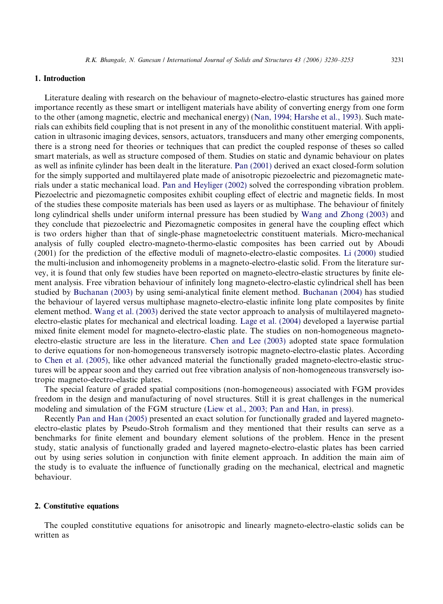### 1. Introduction

Literature dealing with research on the behaviour of magneto-electro-elastic structures has gained more importance recently as these smart or intelligent materials have ability of converting energy from one form to the other (among magnetic, electric and mechanical energy) (Nan, 1994; Harshe et al., 1993). Such materials can exhibits field coupling that is not present in any of the monolithic constituent material. With application in ultrasonic imaging devices, sensors, actuators, transducers and many other emerging components, there is a strong need for theories or techniques that can predict the coupled response of theses so called smart materials, as well as structure composed of them. Studies on static and dynamic behaviour on plates as well as infinite cylinder has been dealt in the literature. Pan (2001) derived an exact closed-form solution for the simply supported and multilayered plate made of anisotropic piezoelectric and piezomagnetic materials under a static mechanical load. Pan and Heyliger (2002) solved the corresponding vibration problem. Piezoelectric and piezomagnetic composites exhibit coupling effect of electric and magnetic fields. In most of the studies these composite materials has been used as layers or as multiphase. The behaviour of finitely long cylindrical shells under uniform internal pressure has been studied by Wang and Zhong (2003) and they conclude that piezoelectric and Piezomagnetic composites in general have the coupling effect which is two orders higher than that of single-phase magnetoelectric constituent materials. Micro-mechanical analysis of fully coupled electro-magneto-thermo-elastic composites has been carried out by Aboudi (2001) for the prediction of the effective moduli of magneto-electro-elastic composites. Li (2000) studied the multi-inclusion and inhomogeneity problems in a magneto-electro-elastic solid. From the literature survey, it is found that only few studies have been reported on magneto-electro-elastic structures by finite element analysis. Free vibration behaviour of infinitely long magneto-electro-elastic cylindrical shell has been studied by Buchanan (2003) by using semi-analytical finite element method. Buchanan (2004) has studied the behaviour of layered versus multiphase magneto-electro-elastic infinite long plate composites by finite element method. Wang et al. (2003) derived the state vector approach to analysis of multilayered magnetoelectro-elastic plates for mechanical and electrical loading. Lage et al. (2004) developed a layerwise partial mixed finite element model for magneto-electro-elastic plate. The studies on non-homogeneous magnetoelectro-elastic structure are less in the literature. Chen and Lee (2003) adopted state space formulation to derive equations for non-homogeneous transversely isotropic magneto-electro-elastic plates. According to Chen et al. (2005), like other advanced material the functionally graded magneto-electro-elastic structures will be appear soon and they carried out free vibration analysis of non-homogeneous transversely isotropic magneto-electro-elastic plates.

The special feature of graded spatial compositions (non-homogeneous) associated with FGM provides freedom in the design and manufacturing of novel structures. Still it is great challenges in the numerical modeling and simulation of the FGM structure (Liew et al., 2003; Pan and Han, in press).

Recently Pan and Han (2005) presented an exact solution for functionally graded and layered magnetoelectro-elastic plates by Pseudo-Stroh formalism and they mentioned that their results can serve as a benchmarks for finite element and boundary element solutions of the problem. Hence in the present study, static analysis of functionally graded and layered magneto-electro-elastic plates has been carried out by using series solution in conjunction with finite element approach. In addition the main aim of the study is to evaluate the influence of functionally grading on the mechanical, electrical and magnetic behaviour.

## 2. Constitutive equations

The coupled constitutive equations for anisotropic and linearly magneto-electro-elastic solids can be written as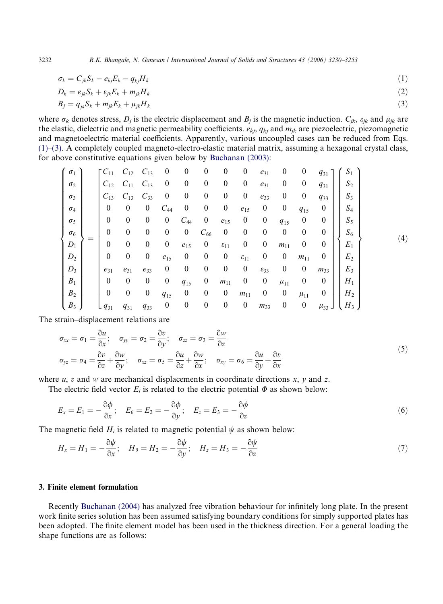3232 *R.K. Bhangale, N. Ganesan / International Journal of Solids and Structures 43 (2006) 3230–3253*

$$
\sigma_k = C_{jk} S_k - e_{kj} E_k - q_{kj} H_k \tag{1}
$$

$$
D_k = e_{jk} S_k + \varepsilon_{jk} E_k + m_{jk} H_k \tag{2}
$$

$$
B_j = q_{jk} S_k + m_{jk} E_k + \mu_{jk} H_k \tag{3}
$$

where  $\sigma_k$  denotes stress,  $D_j$  is the electric displacement and  $B_j$  is the magnetic induction.  $C_{jk}$ ,  $\varepsilon_{jk}$  and  $\mu_{jk}$  are the elastic, dielectric and magnetic permeability coefficients. *ekj*, *qkj* and *mjk* are piezoelectric, piezomagnetic and magnetoelectric material coefficients. Apparently, various uncoupled cases can be reduced from Eqs. (1)–(3). A completely coupled magneto-electro-elastic material matrix, assuming a hexagonal crystal class, for above constitutive equations given below by Buchanan (2003):

| $\sigma_1$     |   | $C_{11}$         | $C_{12}$         | $C_{13}$         | $\boldsymbol{0}$ | $\boldsymbol{0}$ | $\boldsymbol{0}$ | $\boldsymbol{0}$   | $\boldsymbol{0}$   | $e_{31}$           | $\boldsymbol{0}$ | $\boldsymbol{0}$ | $q_{31}$   | $S_1$          |     |
|----------------|---|------------------|------------------|------------------|------------------|------------------|------------------|--------------------|--------------------|--------------------|------------------|------------------|------------|----------------|-----|
| $\sigma_2$     |   | $C_{12}$         | $C_{11}$         | $C_{13}$         | $\overline{0}$   | $\boldsymbol{0}$ | $\boldsymbol{0}$ | $\boldsymbol{0}$   | $\boldsymbol{0}$   | $e_{31}$           | $\boldsymbol{0}$ | $\boldsymbol{0}$ | $q_{31}$   | $S_2$          |     |
| $\sigma_3$     |   | $C_{13}$         | $C_{13}$         | $C_{33}$         | $\theta$         | $\boldsymbol{0}$ | $\boldsymbol{0}$ | $\boldsymbol{0}$   | $\boldsymbol{0}$   | $e_{33}$           | $\boldsymbol{0}$ | $\boldsymbol{0}$ | $q_{33}$   | $S_3$          |     |
| $\sigma_4$     |   | $\boldsymbol{0}$ | $\boldsymbol{0}$ | $\boldsymbol{0}$ | $C_{44}$         | $\boldsymbol{0}$ | $\boldsymbol{0}$ | $\boldsymbol{0}$   | $e_{15}$           | $\boldsymbol{0}$   | $\boldsymbol{0}$ | $q_{15}$         | $\theta$   | $S_4$          |     |
| $\sigma_5$     |   | $\boldsymbol{0}$ | $\boldsymbol{0}$ | $\boldsymbol{0}$ | $\boldsymbol{0}$ | $C_{44}$         | $\boldsymbol{0}$ | $e_{15}$           | $\boldsymbol{0}$   | $\boldsymbol{0}$   | $q_{15}$         | $\boldsymbol{0}$ | $\theta$   | $S_5$          |     |
| $\sigma_6$     |   | $\boldsymbol{0}$ | $\boldsymbol{0}$ | $\boldsymbol{0}$ | $\boldsymbol{0}$ | $\mathbf{0}$     | $C_{66}$         | $\boldsymbol{0}$   | $\overline{0}$     | $\boldsymbol{0}$   | $\boldsymbol{0}$ | $\boldsymbol{0}$ | $\theta$   | $S_6$          |     |
| $D_1$          | = | $\boldsymbol{0}$ | $\boldsymbol{0}$ | $\boldsymbol{0}$ | $\boldsymbol{0}$ | $e_{15}$         | $\boldsymbol{0}$ | $\varepsilon_{11}$ | $\boldsymbol{0}$   | $\boldsymbol{0}$   | $m_{11}$         | $\boldsymbol{0}$ | $\theta$   | $E_1$          | (4) |
| $D_2$          |   | $\boldsymbol{0}$ | $\boldsymbol{0}$ | $\boldsymbol{0}$ | $e_{15}$         | $\boldsymbol{0}$ | $\boldsymbol{0}$ | $\boldsymbol{0}$   | $\varepsilon_{11}$ | $\boldsymbol{0}$   | $\boldsymbol{0}$ | $m_{11}$         | $\theta$   | E <sub>2</sub> |     |
| $D_3$          |   | $e_{31}$         | $e_{31}$         | $e_{33}$         | $\boldsymbol{0}$ | $\boldsymbol{0}$ | $\boldsymbol{0}$ | $\boldsymbol{0}$   | $\boldsymbol{0}$   | $\varepsilon_{33}$ | $\boldsymbol{0}$ | $\boldsymbol{0}$ | $m_{33}$   | $E_3$          |     |
| $B_1$          |   | $\boldsymbol{0}$ | $\boldsymbol{0}$ | $\boldsymbol{0}$ | $\boldsymbol{0}$ | $q_{15}$         | $\boldsymbol{0}$ | $m_{11}$           | $\boldsymbol{0}$   | $\boldsymbol{0}$   | $\mu_{11}$       | $\boldsymbol{0}$ | $\theta$   | $H_1$          |     |
| B <sub>2</sub> |   | $\boldsymbol{0}$ | $\mathbf{0}$     | $\boldsymbol{0}$ | $q_{15}$         | $\boldsymbol{0}$ | $\boldsymbol{0}$ | $\boldsymbol{0}$   | $m_{11}$           | $\boldsymbol{0}$   | $\boldsymbol{0}$ | $\mu_{11}$       | $\theta$   | $H_2$          |     |
| $B_3$          |   | $q_{31}$         | $q_{31}$         | $q_{33}$         | $\boldsymbol{0}$ | $\boldsymbol{0}$ | $\boldsymbol{0}$ | $\boldsymbol{0}$   | $\boldsymbol{0}$   | $m_{33}$           | $\boldsymbol{0}$ | $\boldsymbol{0}$ | $\mu_{33}$ | $H_3$          |     |

The strain–displacement relations are

$$
\sigma_{xx} = \sigma_1 = \frac{\partial u}{\partial x}; \quad \sigma_{yy} = \sigma_2 = \frac{\partial v}{\partial y}; \quad \sigma_{zz} = \sigma_3 = \frac{\partial w}{\partial z}
$$
\n
$$
\sigma_{yz} = \sigma_4 = \frac{\partial v}{\partial z} + \frac{\partial w}{\partial y}; \quad \sigma_{xz} = \sigma_5 = \frac{\partial u}{\partial z} + \frac{\partial w}{\partial x}; \quad \sigma_{xy} = \sigma_6 = \frac{\partial u}{\partial y} + \frac{\partial v}{\partial x}
$$
\n(5)

where *u*, *v* and *w* are mechanical displacements in coordinate directions *x*, *y* and *z*.

The electric field vector  $E_i$  is related to the electric potential  $\Phi$  as shown below:

$$
E_x = E_1 = -\frac{\partial \phi}{\partial x}; \quad E_\theta = E_2 = -\frac{\partial \phi}{\partial y}; \quad E_z = E_3 = -\frac{\partial \phi}{\partial z}
$$
(6)

The magnetic field  $H_i$  is related to magnetic potential  $\psi$  as shown below:

$$
H_x = H_1 = -\frac{\partial \psi}{\partial x}; \quad H_\theta = H_2 = -\frac{\partial \psi}{\partial y}; \quad H_z = H_3 = -\frac{\partial \psi}{\partial z}
$$
\n<sup>(7)</sup>

## 3. Finite element formulation

Recently Buchanan (2004) has analyzed free vibration behaviour for infinitely long plate. In the present work finite series solution has been assumed satisfying boundary conditions for simply supported plates has been adopted. The finite element model has been used in the thickness direction. For a general loading the shape functions are as follows: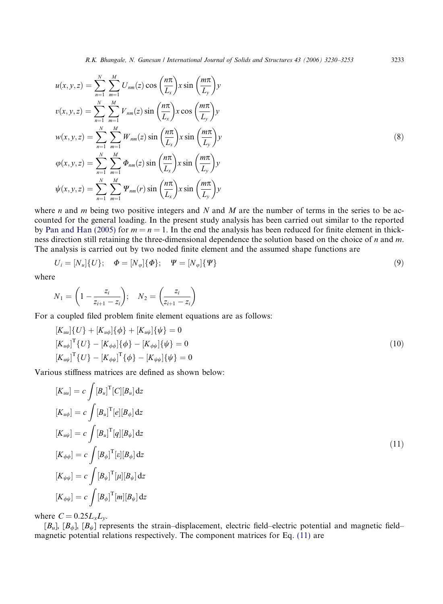$$
u(x, y, z) = \sum_{n=1}^{N} \sum_{m=1}^{M} U_{nm}(z) \cos\left(\frac{n\pi}{L_x}\right) x \sin\left(\frac{m\pi}{L_y}\right) y
$$
  
\n
$$
v(x, y, z) = \sum_{n=1}^{N} \sum_{m=1}^{M} V_{nm}(z) \sin\left(\frac{n\pi}{L_x}\right) x \cos\left(\frac{m\pi}{L_y}\right) y
$$
  
\n
$$
w(x, y, z) = \sum_{n=1}^{N} \sum_{m=1}^{M} W_{nm}(z) \sin\left(\frac{n\pi}{L_x}\right) x \sin\left(\frac{m\pi}{L_y}\right) y
$$
  
\n
$$
\varphi(x, y, z) = \sum_{n=1}^{N} \sum_{m=1}^{M} \Phi_{nm}(z) \sin\left(\frac{n\pi}{L_x}\right) x \sin\left(\frac{m\pi}{L_y}\right) y
$$
  
\n
$$
\psi(x, y, z) = \sum_{n=1}^{N} \sum_{m=1}^{M} \Psi_{nm}(r) \sin\left(\frac{n\pi}{L_x}\right) x \sin\left(\frac{m\pi}{L_y}\right) y
$$

where *n* and *m* being two positive integers and *N* and *M* are the number of terms in the series to be accounted for the general loading. In the present study analysis has been carried out similar to the reported by Pan and Han (2005) for  $m = n = 1$ . In the end the analysis has been reduced for finite element in thickness direction still retaining the three-dimensional dependence the solution based on the choice of *n* and *m*. The analysis is carried out by two noded finite element and the assumed shape functions are

$$
U_i = [N_u] \{ U \}; \quad \Phi = [N_\varphi] \{ \Phi \}; \quad \Psi = [N_\varphi] \{ \Psi \}
$$
\n(9)

where

$$
N_1 = \left(1 - \frac{z_i}{z_{i+1} - z_i}\right); \quad N_2 = \left(\frac{z_i}{z_{i+1} - z_i}\right)
$$

For a coupled filed problem finite element equations are as follows:

$$
[K_{uu}]\{U\} + [K_{u\phi}]\{\phi\} + [K_{u\psi}]\{\psi\} = 0
$$
  
\n
$$
[K_{u\phi}]^{\text{T}}\{U\} - [K_{\phi\phi}]\{\phi\} - [K_{\phi\psi}]\{\psi\} = 0
$$
  
\n
$$
[K_{u\psi}]^{\text{T}}\{U\} - [K_{\phi\psi}]^{\text{T}}\{\phi\} - [K_{\psi\psi}]\{\psi\} = 0
$$
\n(10)

Various stiffness matrices are defined as shown below:

$$
[K_{uu}] = c \int [B_u]^{\mathrm{T}} [C][B_u] dz
$$
  
\n
$$
[K_{u\phi}] = c \int [B_u]^{\mathrm{T}} [e][B_{\phi}] dz
$$
  
\n
$$
[K_{u\psi}] = c \int [B_u]^{\mathrm{T}} [q][B_{\psi}] dz
$$
  
\n
$$
[K_{\phi\phi}] = c \int [B_{\phi}]^{\mathrm{T}} [e][B_{\phi}] dz
$$
  
\n
$$
[K_{\psi\psi}] = c \int [B_{\psi}]^{\mathrm{T}} [\mu][B_{\psi}] dz
$$
  
\n
$$
[K_{\phi\psi}] = c \int [B_{\phi}]^{\mathrm{T}} [m][B_{\psi}] dz
$$
\n(11)

where  $C = 0.25 L_x L_y$ .

 $[B_u]$ ,  $[B_\phi]$ ,  $[B_\psi]$  represents the strain–displacement, electric field–electric potential and magnetic field– magnetic potential relations respectively. The component matrices for Eq. (11) are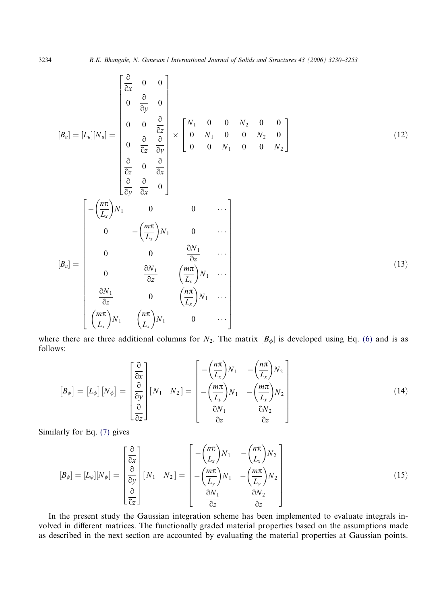$$
[B_u] = [L_u][N_u] = \begin{bmatrix} \frac{\partial}{\partial x} & 0 & 0 \\ 0 & \frac{\partial}{\partial y} & 0 \\ 0 & 0 & \frac{\partial}{\partial z} \\ 0 & \frac{\partial}{\partial z} & \frac{\partial}{\partial y} \\ \frac{\partial}{\partial z} & 0 & \frac{\partial}{\partial x} \\ \frac{\partial}{\partial y} & \frac{\partial}{\partial x} & 0 \end{bmatrix} \times \begin{bmatrix} N_1 & 0 & 0 & N_2 & 0 & 0 \\ 0 & N_1 & 0 & 0 & N_2 & 0 \\ 0 & 0 & N_1 & 0 & 0 & N_2 \end{bmatrix}
$$
(12)  

$$
[B_u] = \begin{bmatrix} -\left(\frac{n\pi}{L_x}\right)N_1 & 0 & 0 & \cdots \\ 0 & -\left(\frac{m\pi}{L_x}\right)N_1 & 0 & \cdots \\ 0 & 0 & \frac{\partial N_1}{\partial z} & \cdots \\ 0 & \frac{\partial N_1}{\partial z} & \left(\frac{m\pi}{L_x}\right)N_1 & \cdots \\ \frac{\partial N_1}{\partial z} & 0 & \left(\frac{n\pi}{L_x}\right)N_1 & \cdots \\ \frac{\partial N_1}{\partial z} & 0 & \left(\frac{n\pi}{L_x}\right)N_1 & 0 \end{bmatrix}
$$
(13)

where there are three additional columns for  $N_2$ . The matrix  $[B_{\phi}]$  is developed using Eq. (6) and is as follows:

$$
\begin{bmatrix} B_{\phi} \end{bmatrix} = \begin{bmatrix} L_{\phi} \end{bmatrix} \begin{bmatrix} N_{\phi} \end{bmatrix} = \begin{bmatrix} \frac{\partial}{\partial x} \\ \frac{\partial}{\partial y} \\ \frac{\partial}{\partial z} \end{bmatrix} \begin{bmatrix} N_1 & N_2 \end{bmatrix} = \begin{bmatrix} -\left(\frac{n\pi}{L_x}\right)N_1 & -\left(\frac{n\pi}{L_x}\right)N_2 \\ -\left(\frac{m\pi}{L_y}\right)N_1 & -\left(\frac{m\pi}{L_y}\right)N_2 \\ \frac{\partial N_1}{\partial z} & \frac{\partial N_2}{\partial z} \end{bmatrix}
$$
(14)

Similarly for Eq. (7) gives

$$
[B_{\psi}] = [L_{\psi}][N_{\psi}] = \begin{bmatrix} \frac{\partial}{\partial x} \\ \frac{\partial}{\partial y} \\ \frac{\partial}{\partial z} \end{bmatrix} [N_1 \quad N_2] = \begin{bmatrix} -\left(\frac{n\pi}{L_x}\right)N_1 & -\left(\frac{n\pi}{L_x}\right)N_2 \\ -\left(\frac{m\pi}{L_y}\right)N_1 & -\left(\frac{m\pi}{L_y}\right)N_2 \\ \frac{\partial}{\partial z} & \frac{\partial N_2}{\partial z} \end{bmatrix}
$$
(15)

In the present study the Gaussian integration scheme has been implemented to evaluate integrals involved in different matrices. The functionally graded material properties based on the assumptions made as described in the next section are accounted by evaluating the material properties at Gaussian points.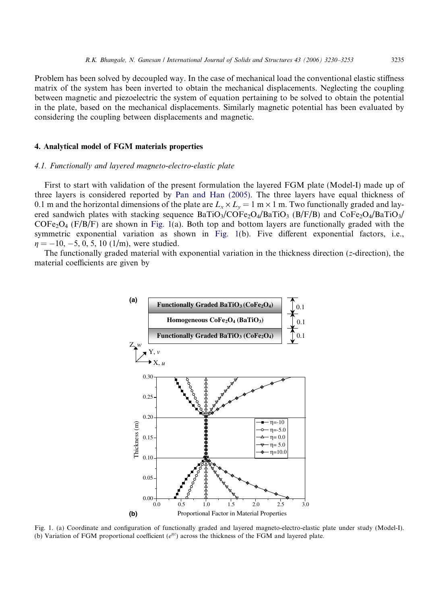Problem has been solved by decoupled way. In the case of mechanical load the conventional elastic stiffness matrix of the system has been inverted to obtain the mechanical displacements. Neglecting the coupling between magnetic and piezoelectric the system of equation pertaining to be solved to obtain the potential in the plate, based on the mechanical displacements. Similarly magnetic potential has been evaluated by considering the coupling between displacements and magnetic.

## 4. Analytical model of FGM materials properties

## *4.1. Functionally and layered magneto-electro-elastic plate*

First to start with validation of the present formulation the layered FGM plate (Model-I) made up of three layers is considered reported by Pan and Han (2005). The three layers have equal thickness of 0.1 m and the horizontal dimensions of the plate are  $L_x \times L_y = 1$  m  $\times$  1 m. Two functionally graded and layered sandwich plates with stacking sequence  $BaTiO<sub>3</sub>/COFe<sub>2</sub>O<sub>4</sub>/BaTiO<sub>3</sub>$  (B/F/B) and  $CoFe<sub>2</sub>O<sub>4</sub>/BaTiO<sub>3</sub>/$  $COFe<sub>2</sub>O<sub>4</sub>$  (F/B/F) are shown in Fig. 1(a). Both top and bottom layers are functionally graded with the symmetric exponential variation as shown in Fig. 1(b). Five different exponential factors, i.e.,  $\eta = -10, -5, 0, 5, 10$  (1/m), were studied.

The functionally graded material with exponential variation in the thickness direction (*z*-direction), the material coefficients are given by



Fig. 1. (a) Coordinate and configuration of functionally graded and layered magneto-electro-elastic plate under study (Model-I). (b) Variation of FGM proportional coefficient ( $e^{\eta z}$ ) across the thickness of the FGM and layered plate.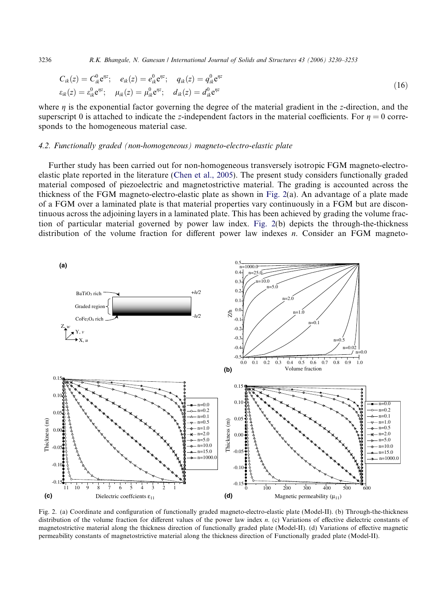3236 *R.K. Bhangale, N. Ganesan / International Journal of Solids and Structures 43 (2006) 3230–3253*

$$
C_{ik}(z) = C_{ik}^{0} e^{\eta z}; \quad e_{ik}(z) = e_{ik}^{0} e^{\eta z}; \quad q_{ik}(z) = q_{ik}^{0} e^{\eta z}
$$
  
\n
$$
\varepsilon_{ik}(z) = \varepsilon_{ik}^{0} e^{\eta z}; \quad \mu_{ik}(z) = \mu_{ik}^{0} e^{\eta z}; \quad d_{ik}(z) = d_{ik}^{0} e^{\eta z}
$$
\n(16)

where  $\eta$  is the exponential factor governing the degree of the material gradient in the *z*-direction, and the superscript 0 is attached to indicate the *z*-independent factors in the material coefficients. For  $\eta = 0$  corresponds to the homogeneous material case.

#### *4.2. Functionally graded (non-homogeneous) magneto-electro-elastic plate*

Further study has been carried out for non-homogeneous transversely isotropic FGM magneto-electroelastic plate reported in the literature (Chen et al., 2005). The present study considers functionally graded material composed of piezoelectric and magnetostrictive material. The grading is accounted across the thickness of the FGM magneto-electro-elastic plate as shown in Fig. 2(a). An advantage of a plate made of a FGM over a laminated plate is that material properties vary continuously in a FGM but are discontinuous across the adjoining layers in a laminated plate. This has been achieved by grading the volume fraction of particular material governed by power law index. Fig. 2(b) depicts the through-the-thickness distribution of the volume fraction for different power law indexes *n*. Consider an FGM magneto-



Fig. 2. (a) Coordinate and configuration of functionally graded magneto-electro-elastic plate (Model-II). (b) Through-the-thickness distribution of the volume fraction for different values of the power law index *n*. (c) Variations of effective dielectric constants of magnetostrictive material along the thickness direction of functionally graded plate (Model-II). (d) Variations of effective magnetic permeability constants of magnetostrictive material along the thickness direction of Functionally graded plate (Model-II).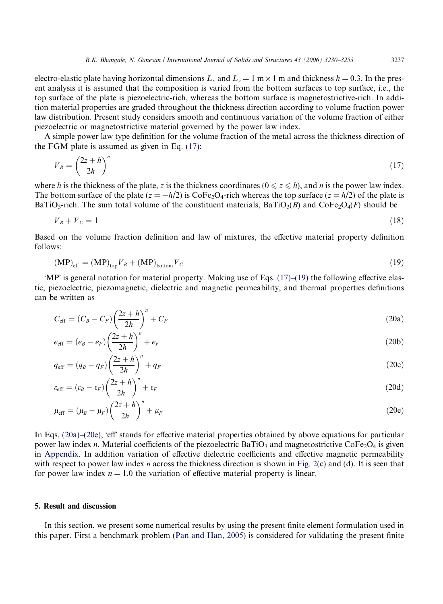electro-elastic plate having horizontal dimensions  $L_x$  and  $L_y = 1$  m  $\times$  1 m and thickness  $h = 0.3$ . In the present analysis it is assumed that the composition is varied from the bottom surfaces to top surface, i.e., the top surface of the plate is piezoelectric-rich, whereas the bottom surface is magnetostrictive-rich. In addition material properties are graded throughout the thickness direction according to volume fraction power law distribution. Present study considers smooth and continuous variation of the volume fraction of either piezoelectric or magnetostrictive material governed by the power law index.

A simple power law type definition for the volume fraction of the metal across the thickness direction of the FGM plate is assumed as given in Eq. (17):

$$
V_B = \left(\frac{2z + h}{2h}\right)^n\tag{17}
$$

where *h* is the thickness of the plate, *z* is the thickness coordinates ( $0 \le z \le h$ ), and *n* is the power law index. The bottom surface of the plate  $(z = -h/2)$  is  $\text{CoFe}_2\text{O}_4$ -rich whereas the top surface  $(z = h/2)$  of the plate is BaTiO<sub>3</sub>-rich. The sum total volume of the constituent materials, BaTiO<sub>3</sub>(B) and CoFe<sub>2</sub>O<sub>4</sub>(F) should be

$$
V_B + V_C = 1\tag{18}
$$

Based on the volume fraction definition and law of mixtures, the effective material property definition follows:

$$
(\mathbf{MP})_{\text{eff}} = (\mathbf{MP})_{\text{top}} V_B + (\mathbf{MP})_{\text{bottom}} V_C
$$
\n(19)

'MP' is general notation for material property. Making use of Eqs. (17)–(19) the following effective elastic, piezoelectric, piezomagnetic, dielectric and magnetic permeability, and thermal properties definitions can be written as

$$
C_{\text{eff}} = (C_B - C_F) \left(\frac{2z + h}{2h}\right)^n + C_F \tag{20a}
$$

$$
e_{\rm eff} = (e_B - e_F) \left(\frac{2z + h}{2h}\right)^n + e_F \tag{20b}
$$

$$
q_{\text{eff}} = (q_B - q_F) \left(\frac{2z + h}{2h}\right)^n + q_F \tag{20c}
$$

$$
\varepsilon_{\rm eff} = (\varepsilon_B - \varepsilon_F) \left(\frac{2z + h}{2h}\right)^n + \varepsilon_F \tag{20d}
$$

$$
\mu_{\rm eff} = (\mu_B - \mu_F) \left(\frac{2z + h}{2h}\right)^n + \mu_F \tag{20e}
$$

In Eqs. (20a)–(20e), 'eff' stands for effective material properties obtained by above equations for particular power law index *n*. Material coefficients of the piezoelectric BaTiO<sub>3</sub> and magnetostrictive CoFe<sub>2</sub>O<sub>4</sub> is given in Appendix. In addition variation of effective dielectric coefficients and effective magnetic permeability with respect to power law index *n* across the thickness direction is shown in Fig. 2(c) and (d). It is seen that for power law index  $n = 1.0$  the variation of effective material property is linear.

## 5. Result and discussion

In this section, we present some numerical results by using the present finite element formulation used in this paper. First a benchmark problem (Pan and Han, 2005) is considered for validating the present finite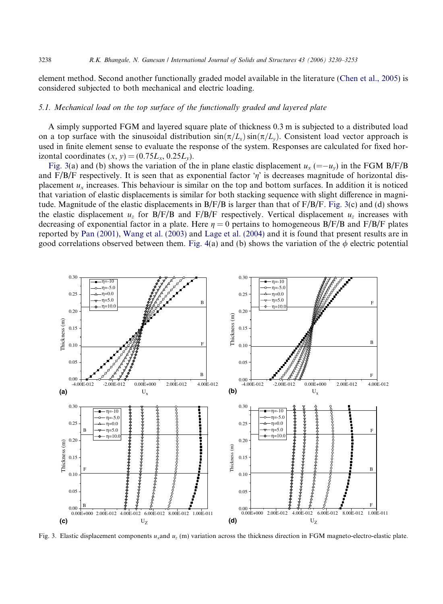element method. Second another functionally graded model available in the literature (Chen et al., 2005) is considered subjected to both mechanical and electric loading.

## *5.1. Mechanical load on the top surface of the functionally graded and layered plate*

A simply supported FGM and layered square plate of thickness 0.3 m is subjected to a distributed load on a top surface with the sinusoidal distribution  $\sin(\pi/L_x)\sin(\pi/L_y)$ . Consistent load vector approach is used in finite element sense to evaluate the response of the system. Responses are calculated for fixed horizontal coordinates  $(x, y) = (0.75L_x, 0.25L_y)$ .

Fig. 3(a) and (b) shows the variation of the in plane elastic displacement  $u_x$  (=- $u_y$ ) in the FGM B/F/B and F/B/F respectively. It is seen that as exponential factor  $\eta$  is decreases magnitude of horizontal displacement  $u_x$  increases. This behaviour is similar on the top and bottom surfaces. In addition it is noticed that variation of elastic displacements is similar for both stacking sequence with slight difference in magnitude. Magnitude of the elastic displacements in  $B/F/B$  is larger than that of  $F/B/F$ . Fig. 3(c) and (d) shows the elastic displacement  $u_z$  for B/F/B and F/B/F respectively. Vertical displacement  $u_z$  increases with decreasing of exponential factor in a plate. Here  $\eta = 0$  pertains to homogeneous B/F/B and F/B/F plates reported by Pan (2001), Wang et al. (2003) and Lage et al. (2004) and it is found that present results are in good correlations observed between them. Fig. 4(a) and (b) shows the variation of the  $\phi$  electric potential



Fig. 3. Elastic displacement components *ux*and *u<sup>z</sup>* (m) variation across the thickness direction in FGM magneto-electro-elastic plate.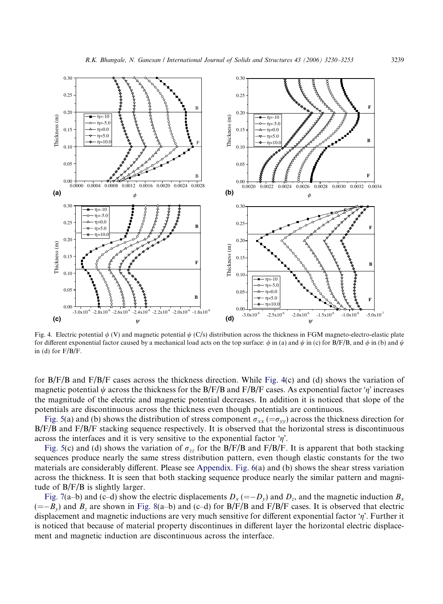

Fig. 4. Electric potential  $\phi$  (V) and magnetic potential  $\psi$  (C/s) distribution across the thickness in FGM magneto-electro-elastic plate for different exponential factor caused by a mechanical load acts on the top surface:  $\phi$  in (a) and  $\psi$  in (c) for B/F/B, and  $\phi$  in (b) and  $\psi$ in (d) for F/B/F.

for B/F/B and F/B/F cases across the thickness direction. While Fig. 4(c) and (d) shows the variation of magnetic potential  $\psi$  across the thickness for the B/F/B and F/B/F cases. As exponential factor ' $\eta$ ' increases the magnitude of the electric and magnetic potential decreases. In addition it is noticed that slope of the potentials are discontinuous across the thickness even though potentials are continuous.

Fig. 5(a) and (b) shows the distribution of stress component  $\sigma_{xx} (= \sigma_{yy})$  across the thickness direction for B/F/B and F/B/F stacking sequence respectively. It is observed that the horizontal stress is discontinuous across the interfaces and it is very sensitive to the exponential factor  $\eta$ .

Fig. 5(c) and (d) shows the variation of  $\sigma_{zz}$  for the B/F/B and F/B/F. It is apparent that both stacking sequences produce nearly the same stress distribution pattern, even though elastic constants for the two materials are considerably different. Please see Appendix. Fig. 6(a) and (b) shows the shear stress variation across the thickness. It is seen that both stacking sequence produce nearly the similar pattern and magnitude of B/F/B is slightly larger.

Fig. 7(a–b) and (c–d) show the electric displacements  $D_x = -D_y$  and  $D_z$ , and the magnetic induction  $B_x$  $(=-B_y)$  and  $B_z$  are shown in Fig. 8(a–b) and (c–d) for B/F/B and F/B/F cases. It is observed that electric displacement and magnetic inductions are very much sensitive for different exponential factor 'n'. Further it is noticed that because of material property discontinues in different layer the horizontal electric displacement and magnetic induction are discontinuous across the interface.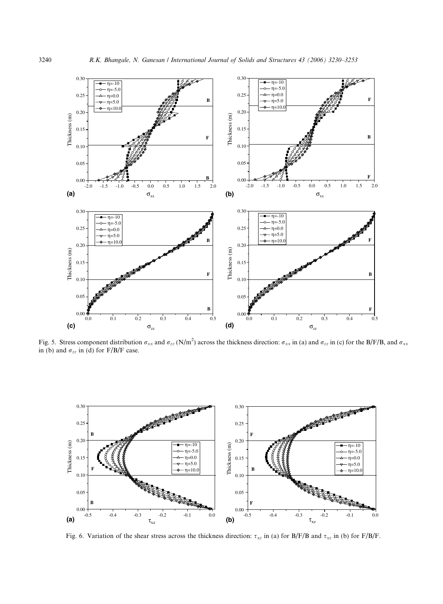

Fig. 5. Stress component distribution  $\sigma_{xx}$  and  $\sigma_{zz}$  (N/m<sup>2</sup>) across the thickness direction:  $\sigma_{xx}$  in (a) and  $\sigma_{zz}$  in (c) for the B/F/B, and  $\sigma_{xx}$ in (b) and  $\sigma_{zz}$  in (d) for F/B/F case.



Fig. 6. Variation of the shear stress across the thickness direction:  $\tau_{xz}$  in (a) for B/F/B and  $\tau_{xz}$  in (b) for F/B/F.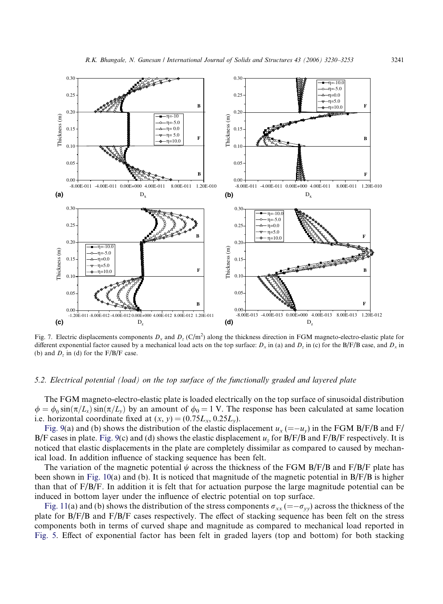

Fig. 7. Electric displacements components  $D_x$  and  $D_z$  (C/m<sup>2</sup>) along the thickness direction in FGM magneto-electro-elastic plate for different exponential factor caused by a mechanical load acts on the top surface:  $D_x$  in (a) and  $D_z$  in (c) for the B/F/B case, and  $D_x$  in (b) and  $D_z$  in (d) for the  $F/B/F$  case.

## *5.2. Electrical potential (load) on the top surface of the functionally graded and layered plate*

The FGM magneto-electro-elastic plate is loaded electrically on the top surface of sinusoidal distribution  $\phi = \phi_0 \sin(\pi/L_x) \sin(\pi/L_y)$  by an amount of  $\phi_0 = 1$  V. The response has been calculated at same location i.e. horizontal coordinate fixed at  $(x, y) = (0.75L_x, 0.25L_y)$ .

Fig. 9(a) and (b) shows the distribution of the elastic displacement  $u_x = -u_y$  in the FGM B/F/B and F/ B/F cases in plate. Fig. 9(c) and (d) shows the elastic displacement  $u_z$  for B/F/B and F/B/F respectively. It is noticed that elastic displacements in the plate are completely dissimilar as compared to caused by mechanical load. In addition influence of stacking sequence has been felt.

The variation of the magnetic potential  $\psi$  across the thickness of the FGM B/F/B and F/B/F plate has been shown in Fig. 10(a) and (b). It is noticed that magnitude of the magnetic potential in  $B/F/B$  is higher than that of F/B/F. In addition it is felt that for actuation purpose the large magnitude potential can be induced in bottom layer under the influence of electric potential on top surface.

Fig. 11(a) and (b) shows the distribution of the stress components  $\sigma_{xx} (= -\sigma_{yy})$  across the thickness of the plate for B/F/B and F/B/F cases respectively. The effect of stacking sequence has been felt on the stress components both in terms of curved shape and magnitude as compared to mechanical load reported in Fig. 5. Effect of exponential factor has been felt in graded layers (top and bottom) for both stacking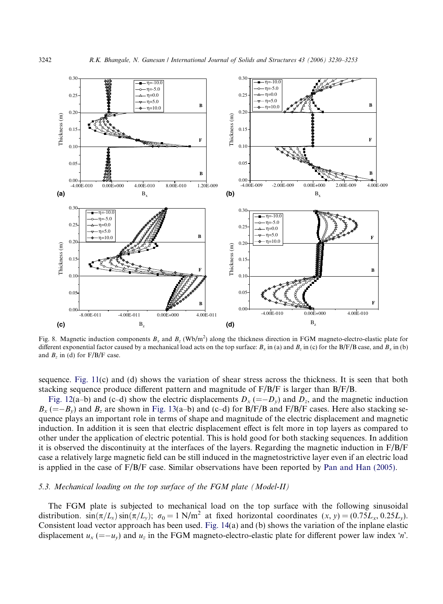

Fig. 8. Magnetic induction components  $B_x$  and  $B_z$  (Wb/m<sup>2</sup>) along the thickness direction in FGM magneto-electro-elastic plate for different exponential factor caused by a mechanical load acts on the top surface:  $B_x$  in (a) and  $B_z$  in (c) for the B/F/B case, and  $B_x$  in (b) and  $B_z$  in (d) for  $F/B/F$  case.

sequence. Fig. 11(c) and (d) shows the variation of shear stress across the thickness. It is seen that both stacking sequence produce different pattern and magnitude of  $F/B/F$  is larger than  $B/F/B$ .

Fig. 12(a–b) and (c–d) show the electric displacements  $D_x$  (=- $D_y$ ) and  $D_z$ , and the magnetic induction  $B_x$  (=- $B_y$ ) and  $B_z$  are shown in Fig. 13(a–b) and (c–d) for B/F/B and F/B/F cases. Here also stacking sequence plays an important role in terms of shape and magnitude of the electric displacement and magnetic induction. In addition it is seen that electric displacement effect is felt more in top layers as compared to other under the application of electric potential. This is hold good for both stacking sequences. In addition it is observed the discontinuity at the interfaces of the layers. Regarding the magnetic induction in  $F/B/F$ case a relatively large magnetic field can be still induced in the magnetostrictive layer even if an electric load is applied in the case of F/B/F case. Similar observations have been reported by Pan and Han (2005).

## *5.3. Mechanical loading on the top surface of the FGM plate (Model-II)*

The FGM plate is subjected to mechanical load on the top surface with the following sinusoidal distribution.  $\sin(\pi/L_x)\sin(\pi/L_y)$ ;  $\sigma_0 = 1$  N/m<sup>2</sup> at fixed horizontal coordinates  $(x, y) = (0.75L_x, 0.25L_y)$ . Consistent load vector approach has been used. Fig. 14(a) and (b) shows the variation of the inplane elastic displacement  $u_x$  (=-u<sub>y</sub>) and  $u_z$  in the FGM magneto-electro-elastic plate for different power law index 'n'.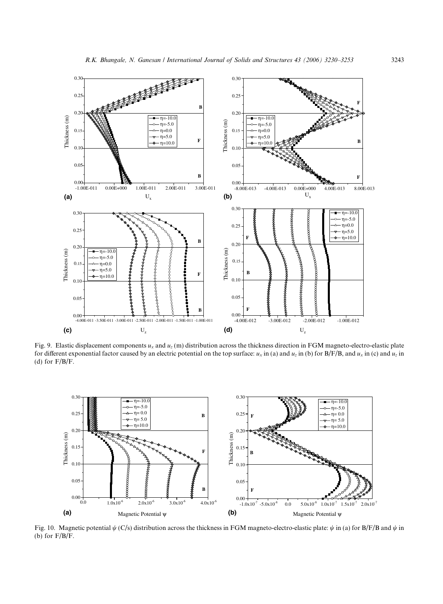

Fig. 9. Elastic displacement components *u<sup>x</sup>* and *u<sup>z</sup>* (m) distribution across the thickness direction in FGM magneto-electro-elastic plate for different exponential factor caused by an electric potential on the top surface:  $u_x$  in (a) and  $u_z$  in (b) for B/F/B, and  $u_x$  in (c) and  $u_z$  in (d) for  $F/B/F$ .



Fig. 10. Magnetic potential  $\psi$  (C/s) distribution across the thickness in FGM magneto-electro-elastic plate:  $\psi$  in (a) for B/F/B and  $\psi$  in (b) for  $F/B/F$ .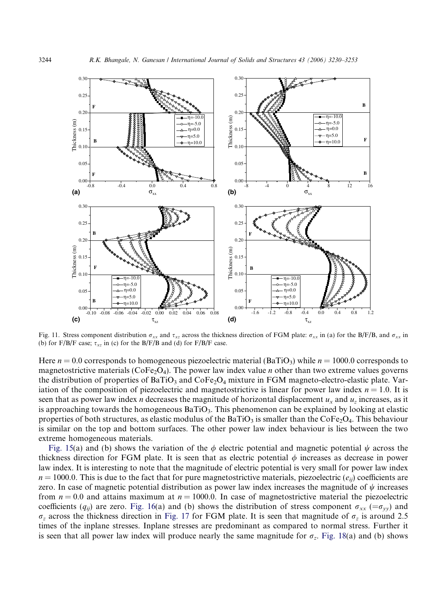

Fig. 11. Stress component distribution  $\sigma_{xx}$  and  $\tau_{xz}$  across the thickness direction of FGM plate:  $\sigma_{xx}$  in (a) for the B/F/B, and  $\sigma_{xx}$  in (b) for F/B/F case;  $\tau_{xz}$  in (c) for the B/F/B and (d) for F/B/F case.

Here  $n = 0.0$  corresponds to homogeneous piezoelectric material (BaTiO<sub>3</sub>) while  $n = 1000.0$  corresponds to magnetostrictive materials ( $\text{CoFe}_2\text{O}_4$ ). The power law index value *n* other than two extreme values governs the distribution of properties of  $BaTiO<sub>3</sub>$  and  $CoFe<sub>2</sub>O<sub>4</sub>$  mixture in FGM magneto-electro-elastic plate. Variation of the composition of piezoelectric and magnetostrictive is linear for power law index  $n = 1.0$ . It is seen that as power law index *n* decreases the magnitude of horizontal displacement *u<sup>x</sup>* and *u<sup>z</sup>* increases, as it is approaching towards the homogeneous  $BaTiO_3$ . This phenomenon can be explained by looking at elastic properties of both structures, as elastic modulus of the BaTiO<sub>3</sub> is smaller than the CoFe<sub>2</sub>O<sub>4</sub>. This behaviour is similar on the top and bottom surfaces. The other power law index behaviour is lies between the two extreme homogeneous materials.

Fig. 15(a) and (b) shows the variation of the  $\phi$  electric potential and magnetic potential  $\psi$  across the thickness direction for FGM plate. It is seen that as electric potential  $\phi$  increases as decrease in power law index. It is interesting to note that the magnitude of electric potential is very small for power law index  $n = 1000.0$ . This is due to the fact that for pure magnetostrictive materials, piezoelectric ( $e_{ii}$ ) coefficients are zero. In case of magnetic potential distribution as power law index increases the magnitude of  $\psi$  increases from  $n = 0.0$  and attains maximum at  $n = 1000.0$ . In case of magnetostrictive material the piezoelectric coefficients ( $q_{ii}$ ) are zero. Fig. 16(a) and (b) shows the distribution of stress component  $\sigma_{xx}$  ( $=\sigma_{yy}$ ) and  $\sigma_z$  across the thickness direction in Fig. 17 for FGM plate. It is seen that magnitude of  $\sigma_z$  is around 2.5 times of the inplane stresses. Inplane stresses are predominant as compared to normal stress. Further it is seen that all power law index will produce nearly the same magnitude for  $\sigma_z$ . Fig. 18(a) and (b) shows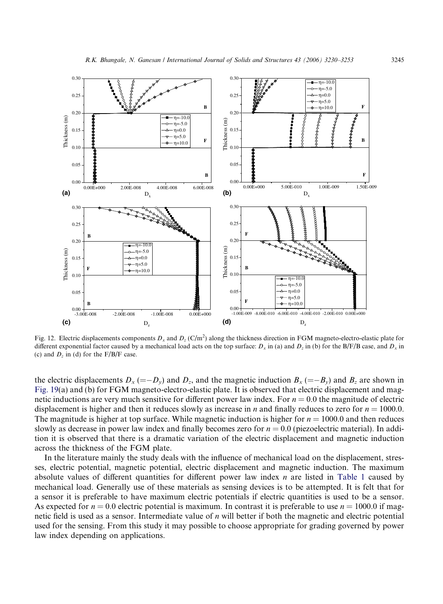

Fig. 12. Electric displacements components  $D_x$  and  $D_z$  (C/m<sup>2</sup>) along the thickness direction in FGM magneto-electro-elastic plate for different exponential factor caused by a mechanical load acts on the top surface:  $D_x$  in (a) and  $D_z$  in (b) for the B/F/B case, and  $D_x$  in (c) and  $D_z$  in (d) for the  $F/B/F$  case.

the electric displacements  $D_x$  (=- $D_y$ ) and  $D_z$ , and the magnetic induction  $B_x$  (=- $B_y$ ) and  $B_z$  are shown in Fig. 19(a) and (b) for FGM magneto-electro-elastic plate. It is observed that electric displacement and magnetic inductions are very much sensitive for different power law index. For  $n = 0.0$  the magnitude of electric displacement is higher and then it reduces slowly as increase in *n* and finally reduces to zero for *n* = 1000.0. The magnitude is higher at top surface. While magnetic induction is higher for  $n = 1000.0$  and then reduces slowly as decrease in power law index and finally becomes zero for  $n = 0.0$  (piezoelectric material). In addition it is observed that there is a dramatic variation of the electric displacement and magnetic induction across the thickness of the FGM plate.

In the literature mainly the study deals with the influence of mechanical load on the displacement, stresses, electric potential, magnetic potential, electric displacement and magnetic induction. The maximum absolute values of different quantities for different power law index *n* are listed in Table 1 caused by mechanical load. Generally use of these materials as sensing devices is to be attempted. It is felt that for a sensor it is preferable to have maximum electric potentials if electric quantities is used to be a sensor. As expected for  $n = 0.0$  electric potential is maximum. In contrast it is preferable to use  $n = 1000.0$  if magnetic field is used as a sensor. Intermediate value of *n* will better if both the magnetic and electric potential used for the sensing. From this study it may possible to choose appropriate for grading governed by power law index depending on applications.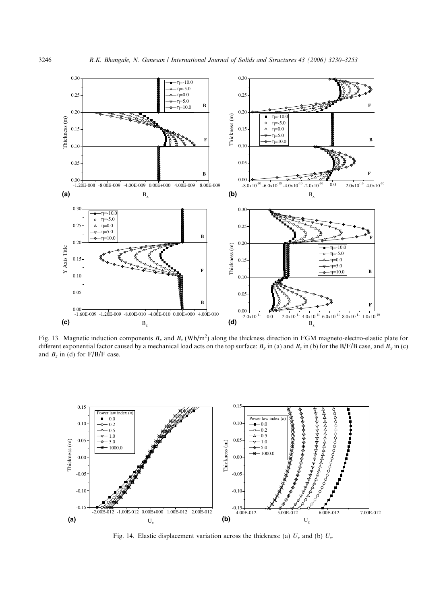

Fig. 13. Magnetic induction components  $B_x$  and  $B_z$  (Wb/m<sup>2</sup>) along the thickness direction in FGM magneto-electro-elastic plate for different exponential factor caused by a mechanical load acts on the top surface:  $B_x$  in (a) and  $B_z$  in (b) for the B/F/B case, and  $B_x$  in (c) and  $B_z$  in (d) for  $F/B/F$  case.



Fig. 14. Elastic displacement variation across the thickness: (a)  $U_x$  and (b)  $U_z$ .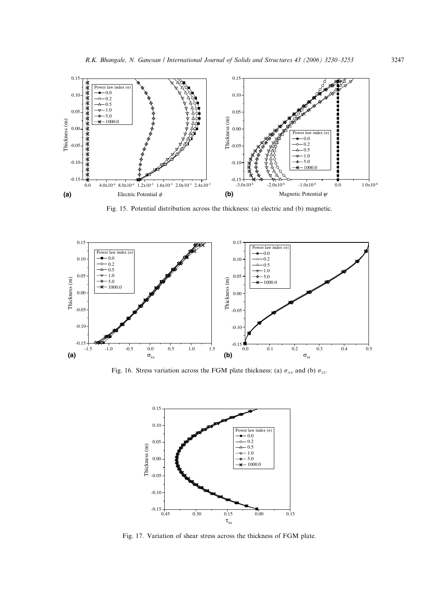

Fig. 15. Potential distribution across the thickness: (a) electric and (b) magnetic.



Fig. 16. Stress variation across the FGM plate thickness: (a)  $\sigma_{xx}$  and (b)  $\sigma_{zz}$ .



Fig. 17. Variation of shear stress across the thickness of FGM plate.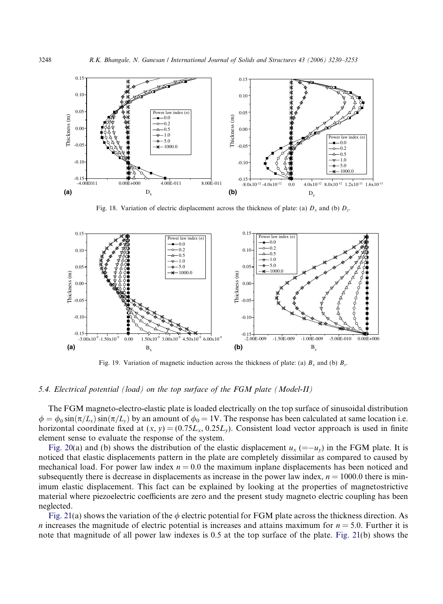

Fig. 18. Variation of electric displacement across the thickness of plate: (a)  $D_x$  and (b)  $D_z$ .



Fig. 19. Variation of magnetic induction across the thickness of plate: (a)  $B_x$  and (b)  $B_z$ .

## *5.4. Electrical potential (load) on the top surface of the FGM plate (Model-II)*

The FGM magneto-electro-elastic plate is loaded electrically on the top surface of sinusoidal distribution  $\phi = \phi_0 \sin(\pi/L_x) \sin(\pi/L_y)$  by an amount of  $\phi_0 = 1$ V. The response has been calculated at same location i.e. horizontal coordinate fixed at  $(x, y) = (0.75L_x, 0.25L_y)$ . Consistent load vector approach is used in finite element sense to evaluate the response of the system.

Fig. 20(a) and (b) shows the distribution of the elastic displacement  $u_x = -u_y$  in the FGM plate. It is noticed that elastic displacements pattern in the plate are completely dissimilar as compared to caused by mechanical load. For power law index  $n = 0.0$  the maximum inplane displacements has been noticed and subsequently there is decrease in displacements as increase in the power law index,  $n = 1000.0$  there is minimum elastic displacement. This fact can be explained by looking at the properties of magnetostrictive material where piezoelectric coefficients are zero and the present study magneto electric coupling has been neglected.

Fig. 21(a) shows the variation of the  $\phi$  electric potential for FGM plate across the thickness direction. As *n* increases the magnitude of electric potential is increases and attains maximum for *n* = 5.0. Further it is note that magnitude of all power law indexes is 0.5 at the top surface of the plate. Fig. 21(b) shows the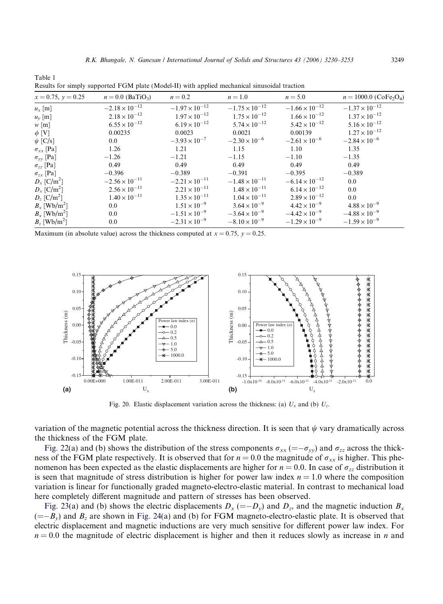| resuns for simply supported I GM plate (model II) with applied incentalities sinusoidal traction |                                 |                         |                         |                         |                                                  |  |
|--------------------------------------------------------------------------------------------------|---------------------------------|-------------------------|-------------------------|-------------------------|--------------------------------------------------|--|
| $x = 0.75, y = 0.25$                                                                             | $n = 0.0$ (BaTiO <sub>3</sub> ) | $n=0.2$                 | $n=1.0$                 | $n = 5.0$               | $n = 1000.0$ (CoFe <sub>2</sub> O <sub>4</sub> ) |  |
| $u_x$ [m]                                                                                        | $-2.18 \times 10^{-12}$         | $-1.97 \times 10^{-12}$ | $-1.75 \times 10^{-12}$ | $-1.66 \times 10^{-12}$ | $-1.37 \times 10^{-12}$                          |  |
| $u_{v}$ [m]                                                                                      | $2.18 \times 10^{-12}$          | $1.97 \times 10^{-12}$  | $1.75 \times 10^{-12}$  | $1.66 \times 10^{-12}$  | $1.37 \times 10^{-12}$                           |  |
| $w$ [m]                                                                                          | $6.55 \times 10^{-12}$          | $6.19 \times 10^{-12}$  | $5.74 \times 10^{-12}$  | $5.42 \times 10^{-12}$  | $5.16 \times 10^{-12}$                           |  |
| $\phi$ [V]                                                                                       | 0.00235                         | 0.0023                  | 0.0021                  | 0.00139                 | $1.27 \times 10^{-12}$                           |  |
| $\psi$ [C/s]                                                                                     | $0.0\,$                         | $-3.93 \times 10^{-7}$  | $-2.30 \times 10^{-6}$  | $-2.61 \times 10^{-6}$  | $-2.84 \times 10^{-6}$                           |  |
| $\sigma_{xx}$ [Pa]                                                                               | 1.26                            | 1.21                    | 1.15                    | 1.10                    | 1.35                                             |  |
| $\sigma_{yy}$ [Pa]                                                                               | $-1.26$                         | $-1.21$                 | $-1.15$                 | $-1.10$                 | $-1.35$                                          |  |
| $\sigma_{zz}$ [Pa]                                                                               | 0.49                            | 0.49                    | 0.49                    | 0.49                    | 0.49                                             |  |
| $\sigma_{zx}$ [Pa]                                                                               | $-0.396$                        | $-0.389$                | $-0.391$                | $-0.395$                | $-0.389$                                         |  |
| $D_x$ [C/m <sup>2</sup> ]                                                                        | $-2.56 \times 10^{-11}$         | $-2.21 \times 10^{-11}$ | $-1.48 \times 10^{-11}$ | $-6.14 \times 10^{-12}$ | 0.0                                              |  |
| $D_x$ [C/m <sup>2</sup> ]                                                                        | $2.56 \times 10^{-11}$          | $2.21 \times 10^{-11}$  | $1.48 \times 10^{-11}$  | $6.14 \times 10^{-12}$  | 0.0                                              |  |
| $D_z$ [C/m <sup>2</sup> ]                                                                        | $1.40 \times 10^{-11}$          | $1.35 \times 10^{-11}$  | $1.04 \times 10^{-11}$  | $2.89 \times 10^{-12}$  | 0.0                                              |  |
| $B_x$ [Wb/m <sup>2</sup> ]                                                                       | 0.0                             | $1.51 \times 10^{-9}$   | $3.64 \times 10^{-9}$   | $4.42 \times 10^{-9}$   | $4.88 \times 10^{-9}$                            |  |
| $B_x$ [Wb/m <sup>2</sup> ]                                                                       | $0.0\,$                         | $-1.51 \times 10^{-9}$  | $-3.64 \times 10^{-9}$  | $-4.42 \times 10^{-9}$  | $-4.88 \times 10^{-9}$                           |  |
| $B_z$ [Wb/m <sup>2</sup> ]                                                                       | 0.0                             | $-2.31 \times 10^{-9}$  | $-8.10 \times 10^{-9}$  | $-1.29 \times 10^{-9}$  | $-1.59 \times 10^{-9}$                           |  |

| Results for simply supported FGM plate (Model-II) with applied mechanical sinusoidal traction |  |  |
|-----------------------------------------------------------------------------------------------|--|--|
|                                                                                               |  |  |

Table 1

Maximum (in absolute value) across the thickness computed at  $x = 0.75$ ,  $y = 0.25$ .



Fig. 20. Elastic displacement variation across the thickness: (a)  $U_x$  and (b)  $U_z$ .

variation of the magnetic potential across the thickness direction. It is seen that  $\psi$  vary dramatically across the thickness of the FGM plate.

Fig. 22(a) and (b) shows the distribution of the stress components  $\sigma_{xx}$  (= $-\sigma_{yy}$ ) and  $\sigma_{zz}$  across the thickness of the FGM plate respectively. It is observed that for  $n = 0.0$  the magnitude of  $\sigma_{xx}$  is higher. This phenomenon has been expected as the elastic displacements are higher for  $n = 0.0$ . In case of  $\sigma_{zz}$  distribution it is seen that magnitude of stress distribution is higher for power law index  $n = 1.0$  where the composition variation is linear for functionally graded magneto-electro-elastic material. In contrast to mechanical load here completely different magnitude and pattern of stresses has been observed.

Fig. 23(a) and (b) shows the electric displacements  $D_x = -D_y$  and  $D_z$ , and the magnetic induction  $B_x$  $(=-B_y)$  and  $B_z$  are shown in Fig. 24(a) and (b) for FGM magneto-electro-elastic plate. It is observed that electric displacement and magnetic inductions are very much sensitive for different power law index. For  $n = 0.0$  the magnitude of electric displacement is higher and then it reduces slowly as increase in *n* and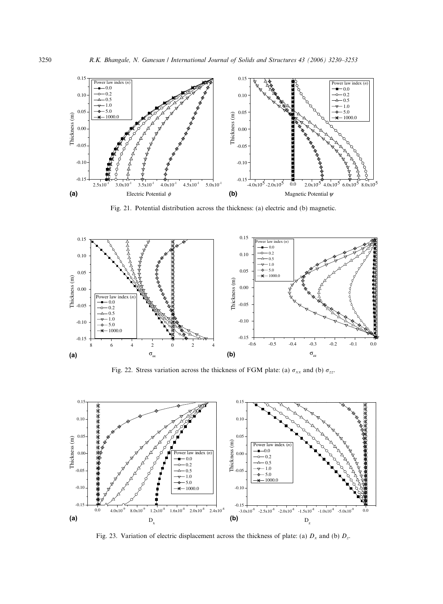

Fig. 21. Potential distribution across the thickness: (a) electric and (b) magnetic.



Fig. 22. Stress variation across the thickness of FGM plate: (a)  $\sigma_{xx}$  and (b)  $\sigma_{zz}$ .



Fig. 23. Variation of electric displacement across the thickness of plate: (a)  $D_x$  and (b)  $D_z$ .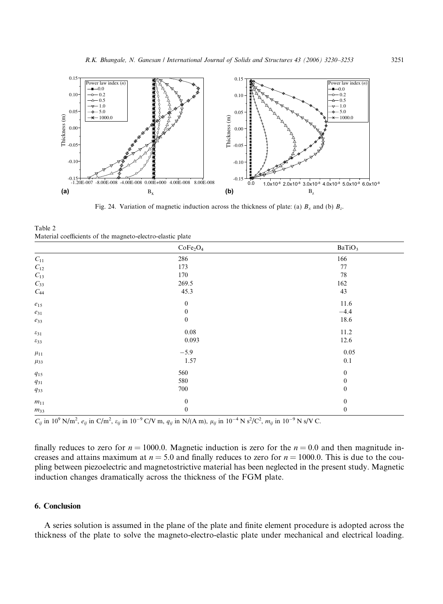

Fig. 24. Variation of magnetic induction across the thickness of plate: (a)  $B_x$  and (b)  $B_z$ .

Table 2 Material coefficients of the magneto-electro-elastic plate

|                       | CoFe <sub>2</sub> O <sub>4</sub> | BaTiO <sub>3</sub> |
|-----------------------|----------------------------------|--------------------|
| $\mathcal{C}_{11}$    | 286                              | 166                |
| ${\cal C}_{12}$       | 173                              | 77                 |
| $\mathcal{C}_{13}$    | 170                              | 78                 |
| $C_{33}$              | 269.5                            | 162                |
| $\mathcal{C}_{44}$    | 45.3                             | 43                 |
| $\boldsymbol{e}_{15}$ | $\boldsymbol{0}$                 | 11.6               |
| $e_{31}$              | $\boldsymbol{0}$                 | $-4.4$             |
| $e_{33}$              | $\boldsymbol{0}$                 | 18.6               |
| $\varepsilon_{31}$    | $0.08\,$                         | 11.2               |
| $\varepsilon_{33}$    | 0.093                            | 12.6               |
| $\mu_{11}$            | $-5.9$                           | 0.05               |
| $\mu_{33}$            | 1.57                             | $0.1\,$            |
| $q_{\rm 15}$          | 560                              | $\mathbf{0}$       |
| $q_{31}$              | 580                              | $\mathbf{0}$       |
| $q_{33}$              | 700                              | $\bf{0}$           |
| $\mathfrak{m}_{11}$   | $\boldsymbol{0}$                 | $\mathbf{0}$       |
| $m_{33}$              | $\boldsymbol{0}$                 | $\bf{0}$           |

 $C_{ij}$  in 10<sup>9</sup> N/m<sup>2</sup>,  $e_{ij}$  in C/m<sup>2</sup>,  $\varepsilon_{ij}$  in 10<sup>-9</sup> C/V m,  $q_{ij}$  in N/(A m),  $\mu_{ij}$  in 10<sup>-4</sup> N s<sup>2</sup>/C<sup>2</sup>,  $m_{ij}$  in 10<sup>-9</sup> N s/V C.

finally reduces to zero for  $n = 1000.0$ . Magnetic induction is zero for the  $n = 0.0$  and then magnitude increases and attains maximum at  $n = 5.0$  and finally reduces to zero for  $n = 1000.0$ . This is due to the coupling between piezoelectric and magnetostrictive material has been neglected in the present study. Magnetic induction changes dramatically across the thickness of the FGM plate.

## 6. Conclusion

A series solution is assumed in the plane of the plate and finite element procedure is adopted across the thickness of the plate to solve the magneto-electro-elastic plate under mechanical and electrical loading.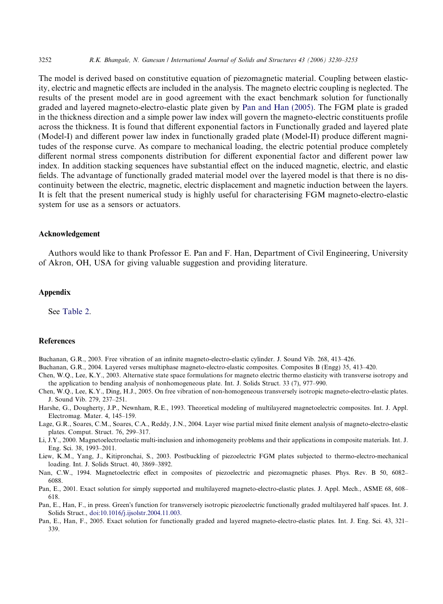The model is derived based on constitutive equation of piezomagnetic material. Coupling between elasticity, electric and magnetic effects are included in the analysis. The magneto electric coupling is neglected. The results of the present model are in good agreement with the exact benchmark solution for functionally graded and layered magneto-electro-elastic plate given by Pan and Han (2005). The FGM plate is graded in the thickness direction and a simple power law index will govern the magneto-electric constituents profile across the thickness. It is found that different exponential factors in Functionally graded and layered plate (Model-I) and different power law index in functionally graded plate (Model-II) produce different magnitudes of the response curve. As compare to mechanical loading, the electric potential produce completely different normal stress components distribution for different exponential factor and different power law index. In addition stacking sequences have substantial effect on the induced magnetic, electric, and elastic fields. The advantage of functionally graded material model over the layered model is that there is no discontinuity between the electric, magnetic, electric displacement and magnetic induction between the layers. It is felt that the present numerical study is highly useful for characterising FGM magneto-electro-elastic system for use as a sensors or actuators.

## Acknowledgement

Authors would like to thank Professor E. Pan and F. Han, Department of Civil Engineering, University of Akron, OH, USA for giving valuable suggestion and providing literature.

## Appendix

See Table 2.

## References

Buchanan, G.R., 2003. Free vibration of an infinite magneto-electro-elastic cylinder. J. Sound Vib. 268, 413–426.

Buchanan, G.R., 2004. Layered verses multiphase magneto-electro-elastic composites. Composites B (Engg) 35, 413–420.

- Chen, W.Q., Lee, K.Y., 2003. Alternative state space formulations for magneto electric thermo elasticity with transverse isotropy and the application to bending analysis of nonhomogeneous plate. Int. J. Solids Struct. 33 (7), 977–990.
- Chen, W.Q., Lee, K.Y., Ding, H.J., 2005. On free vibration of non-homogeneous transversely isotropic magneto-electro-elastic plates. J. Sound Vib. 279, 237–251.
- Harshe, G., Dougherty, J.P., Newnham, R.E., 1993. Theoretical modeling of multilayered magnetoelectric composites. Int. J. Appl. Electromag. Mater. 4, 145–159.
- Lage, G.R., Soares, C.M., Soares, C.A., Reddy, J.N., 2004. Layer wise partial mixed finite element analysis of magneto-electro-elastic plates. Comput. Struct. 76, 299–317.
- Li, J.Y., 2000. Magnetoelectroelastic multi-inclusion and inhomogeneity problems and their applications in composite materials. Int. J. Eng. Sci. 38, 1993–2011.

Liew, K.M., Yang, J., Kitipronchai, S., 2003. Postbuckling of piezoelectric FGM plates subjected to thermo-electro-mechanical loading. Int. J. Solids Struct. 40, 3869–3892.

Nan, C.W., 1994. Magnetoelectric effect in composites of piezoelectric and piezomagnetic phases. Phys. Rev. B 50, 6082– 6088.

Pan, E., 2001. Exact solution for simply supported and multilayered magneto-electro-elastic plates. J. Appl. Mech., ASME 68, 608– 618.

Pan, E., Han, F., in press. Green's function for transversely isotropic piezoelectric functionally graded multilayered half spaces. Int. J. Solids Struct., doi:10.1016/j.ijsolstr.2004.11.003.

Pan, E., Han, F., 2005. Exact solution for functionally graded and layered magneto-electro-elastic plates. Int. J. Eng. Sci. 43, 321– 339.